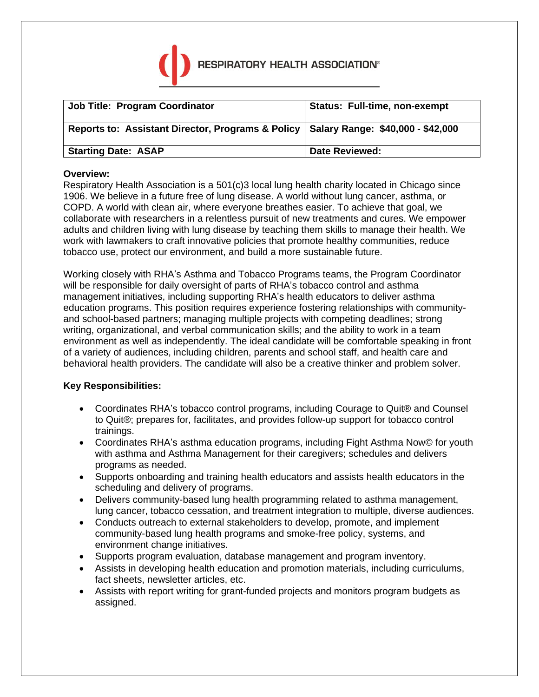

| Job Title: Program Coordinator                                                        | <b>Status: Full-time, non-exempt</b> |
|---------------------------------------------------------------------------------------|--------------------------------------|
| Reports to: Assistant Director, Programs & Policy   Salary Range: \$40,000 - \$42,000 |                                      |
| <b>Starting Date: ASAP</b>                                                            | <b>Date Reviewed:</b>                |

## **Overview:**

Respiratory Health Association is a 501(c)3 local lung health charity located in Chicago since 1906. We believe in a future free of lung disease. A world without lung cancer, asthma, or COPD. A world with clean air, where everyone breathes easier. To achieve that goal, we collaborate with researchers in a relentless pursuit of new treatments and cures. We empower adults and children living with lung disease by teaching them skills to manage their health. We work with lawmakers to craft innovative policies that promote healthy communities, reduce tobacco use, protect our environment, and build a more sustainable future.

Working closely with RHA's Asthma and Tobacco Programs teams, the Program Coordinator will be responsible for daily oversight of parts of RHA's tobacco control and asthma management initiatives, including supporting RHA's health educators to deliver asthma education programs. This position requires experience fostering relationships with communityand school-based partners; managing multiple projects with competing deadlines; strong writing, organizational, and verbal communication skills; and the ability to work in a team environment as well as independently. The ideal candidate will be comfortable speaking in front of a variety of audiences, including children, parents and school staff, and health care and behavioral health providers. The candidate will also be a creative thinker and problem solver.

## **Key Responsibilities:**

- Coordinates RHA's tobacco control programs, including Courage to Quit® and Counsel to Quit®; prepares for, facilitates, and provides follow-up support for tobacco control trainings.
- Coordinates RHA's asthma education programs, including Fight Asthma Now© for youth with asthma and Asthma Management for their caregivers; schedules and delivers programs as needed.
- Supports onboarding and training health educators and assists health educators in the scheduling and delivery of programs.
- Delivers community-based lung health programming related to asthma management, lung cancer, tobacco cessation, and treatment integration to multiple, diverse audiences.
- Conducts outreach to external stakeholders to develop, promote, and implement community-based lung health programs and smoke-free policy, systems, and environment change initiatives.
- Supports program evaluation, database management and program inventory.
- Assists in developing health education and promotion materials, including curriculums, fact sheets, newsletter articles, etc.
- Assists with report writing for grant-funded projects and monitors program budgets as assigned.